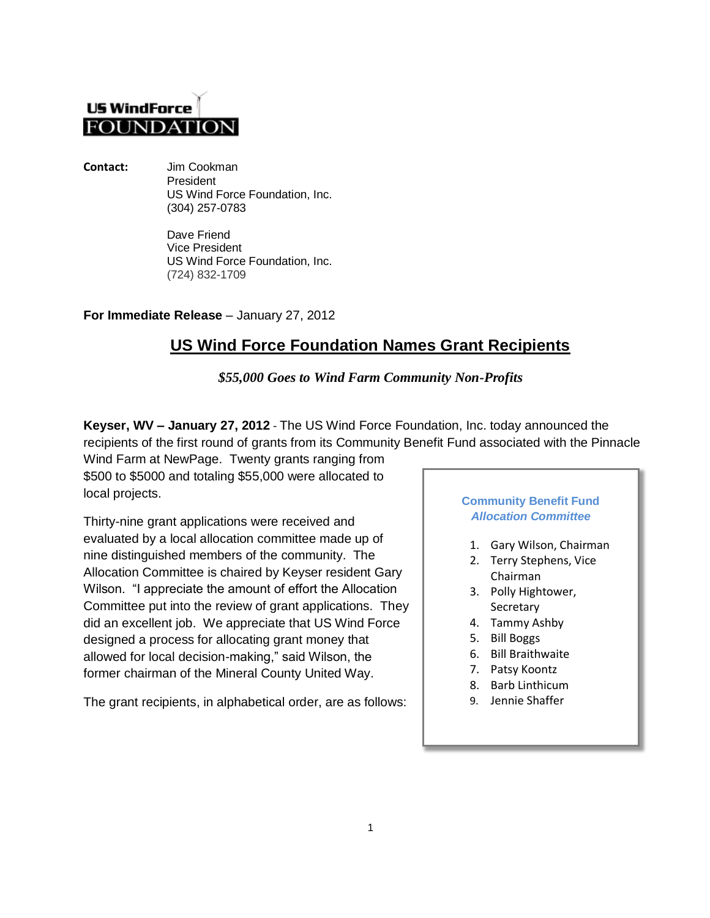## **US WindForce FOUNDATIO**

**Contact:** Jim Cookman President US Wind Force Foundation, Inc. (304) 257-0783

> Dave Friend Vice President US Wind Force Foundation, Inc. (724) 832-1709

**For Immediate Release** – January 27, 2012

## **US Wind Force Foundation Names Grant Recipients**

*\$55,000 Goes to Wind Farm Community Non-Profits*

**Keyser, WV – January 27, 2012** - The US Wind Force Foundation, Inc. today announced the recipients of the first round of grants from its Community Benefit Fund associated with the Pinnacle

Wind Farm at NewPage. Twenty grants ranging from \$500 to \$5000 and totaling \$55,000 were allocated to local projects.

Thirty-nine grant applications were received and evaluated by a local allocation committee made up of nine distinguished members of the community. The Allocation Committee is chaired by Keyser resident Gary Wilson. "I appreciate the amount of effort the Allocation Committee put into the review of grant applications. They did an excellent job. We appreciate that US Wind Force designed a process for allocating grant money that allowed for local decision-making," said Wilson, the former chairman of the Mineral County United Way.

The grant recipients, in alphabetical order, are as follows:

## **Community Benefit Fund**  *Allocation Committee*

- 1. Gary Wilson, Chairman
- 2. Terry Stephens, Vice Chairman
- 3. Polly Hightower, Secretary
- 4. Tammy Ashby
- 5. Bill Boggs
- 6. Bill Braithwaite
- 7. Patsy Koontz
- 8. Barb Linthicum
- 9. Jennie Shaffer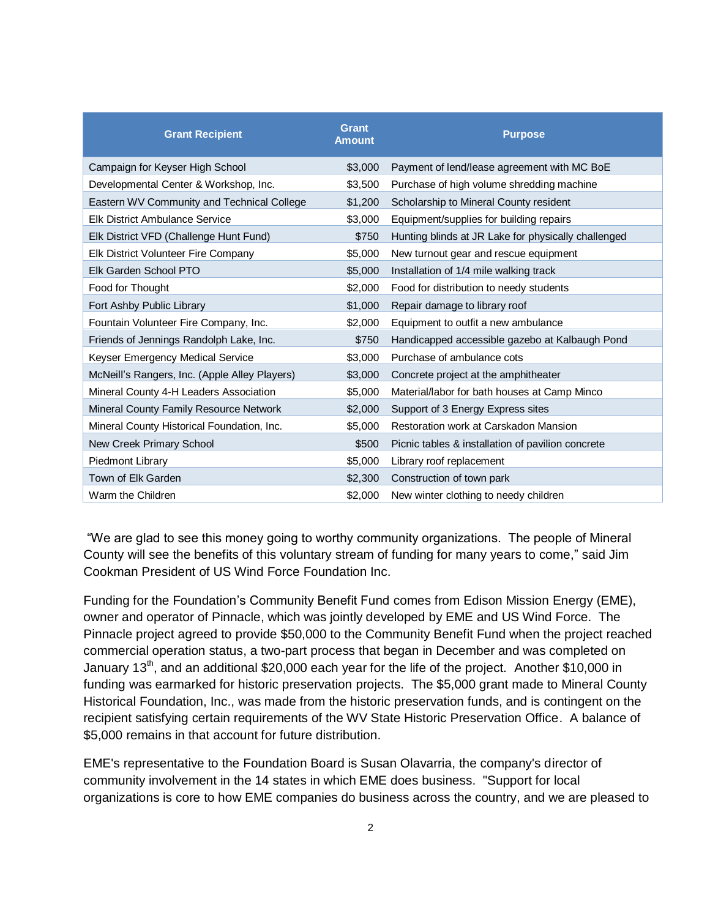| <b>Grant Recipient</b>                        | <b>Grant</b><br><b>Amount</b> | <b>Purpose</b>                                      |
|-----------------------------------------------|-------------------------------|-----------------------------------------------------|
| Campaign for Keyser High School               | \$3,000                       | Payment of lend/lease agreement with MC BoE         |
| Developmental Center & Workshop, Inc.         | \$3,500                       | Purchase of high volume shredding machine           |
| Eastern WV Community and Technical College    | \$1,200                       | Scholarship to Mineral County resident              |
| <b>Elk District Ambulance Service</b>         | \$3,000                       | Equipment/supplies for building repairs             |
| Elk District VFD (Challenge Hunt Fund)        | \$750                         | Hunting blinds at JR Lake for physically challenged |
| Elk District Volunteer Fire Company           | \$5,000                       | New turnout gear and rescue equipment               |
| Elk Garden School PTO                         | \$5,000                       | Installation of 1/4 mile walking track              |
| Food for Thought                              | \$2,000                       | Food for distribution to needy students             |
| Fort Ashby Public Library                     | \$1,000                       | Repair damage to library roof                       |
| Fountain Volunteer Fire Company, Inc.         | \$2,000                       | Equipment to outfit a new ambulance                 |
| Friends of Jennings Randolph Lake, Inc.       | \$750                         | Handicapped accessible gazebo at Kalbaugh Pond      |
| Keyser Emergency Medical Service              | \$3,000                       | Purchase of ambulance cots                          |
| McNeill's Rangers, Inc. (Apple Alley Players) | \$3,000                       | Concrete project at the amphitheater                |
| Mineral County 4-H Leaders Association        | \$5,000                       | Material/labor for bath houses at Camp Minco        |
| Mineral County Family Resource Network        | \$2,000                       | Support of 3 Energy Express sites                   |
| Mineral County Historical Foundation, Inc.    | \$5,000                       | Restoration work at Carskadon Mansion               |
| New Creek Primary School                      | \$500                         | Picnic tables & installation of pavilion concrete   |
| Piedmont Library                              | \$5,000                       | Library roof replacement                            |
| Town of Elk Garden                            | \$2,300                       | Construction of town park                           |
| Warm the Children                             | \$2,000                       | New winter clothing to needy children               |

"We are glad to see this money going to worthy community organizations. The people of Mineral County will see the benefits of this voluntary stream of funding for many years to come," said Jim Cookman President of US Wind Force Foundation Inc.

Funding for the Foundation's Community Benefit Fund comes from Edison Mission Energy (EME), owner and operator of Pinnacle, which was jointly developed by EME and US Wind Force. The Pinnacle project agreed to provide \$50,000 to the Community Benefit Fund when the project reached commercial operation status, a two-part process that began in December and was completed on January 13<sup>th</sup>, and an additional \$20,000 each year for the life of the project. Another \$10,000 in funding was earmarked for historic preservation projects. The \$5,000 grant made to Mineral County Historical Foundation, Inc., was made from the historic preservation funds, and is contingent on the recipient satisfying certain requirements of the WV State Historic Preservation Office. A balance of \$5,000 remains in that account for future distribution.

EME's representative to the Foundation Board is Susan Olavarria, the company's director of community involvement in the 14 states in which EME does business. "Support for local organizations is core to how EME companies do business across the country, and we are pleased to